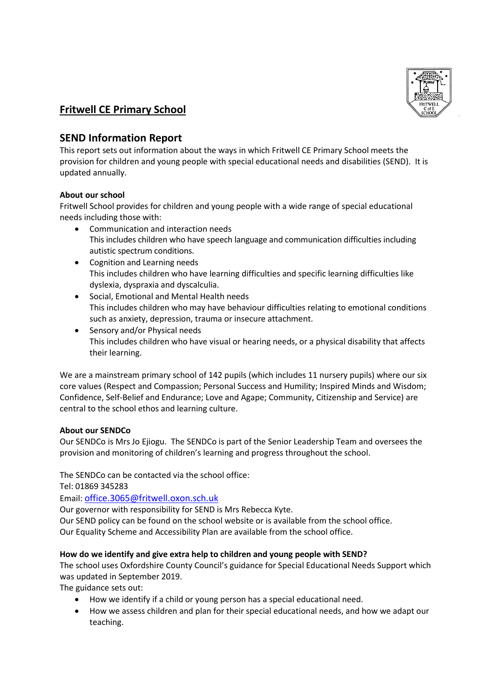

# **Fritwell CE Primary School**

# **SEND Information Report**

This report sets out information about the ways in which Fritwell CE Primary School meets the provision for children and young people with special educational needs and disabilities (SEND). It is updated annually.

## **About our school**

Fritwell School provides for children and young people with a wide range of special educational needs including those with:

- Communication and interaction needs This includes children who have speech language and communication difficulties including autistic spectrum conditions.
- Cognition and Learning needs This includes children who have learning difficulties and specific learning difficulties like dyslexia, dyspraxia and dyscalculia.
- Social, Emotional and Mental Health needs This includes children who may have behaviour difficulties relating to emotional conditions such as anxiety, depression, trauma or insecure attachment.
- Sensory and/or Physical needs This includes children who have visual or hearing needs, or a physical disability that affects their learning.

We are a mainstream primary school of 142 pupils (which includes 11 nursery pupils) where our six core values (Respect and Compassion; Personal Success and Humility; Inspired Minds and Wisdom; Confidence, Self-Belief and Endurance; Love and Agape; Community, Citizenship and Service) are central to the school ethos and learning culture.

## **About our SENDCo**

Our SENDCo is Mrs Jo Ejiogu. The SENDCo is part of the Senior Leadership Team and oversees the provision and monitoring of children's learning and progress throughout the school.

The SENDCo can be contacted via the school office:

Tel: 01869 345283

Email: [office.3065@fritwell.oxon.sch.uk](mailto:office.3065@fritwell.oxon.sch.uk)

Our governor with responsibility for SEND is Mrs Rebecca Kyte.

Our SEND policy can be found on the school website or is available from the school office. Our Equality Scheme and Accessibility Plan are available from the school office.

## **How do we identify and give extra help to children and young people with SEND?**

The school uses Oxfordshire County Council's guidance for Special Educational Needs Support which was updated in September 2019.

The guidance sets out:

- How we identify if a child or young person has a special educational need.
- How we assess children and plan for their special educational needs, and how we adapt our teaching.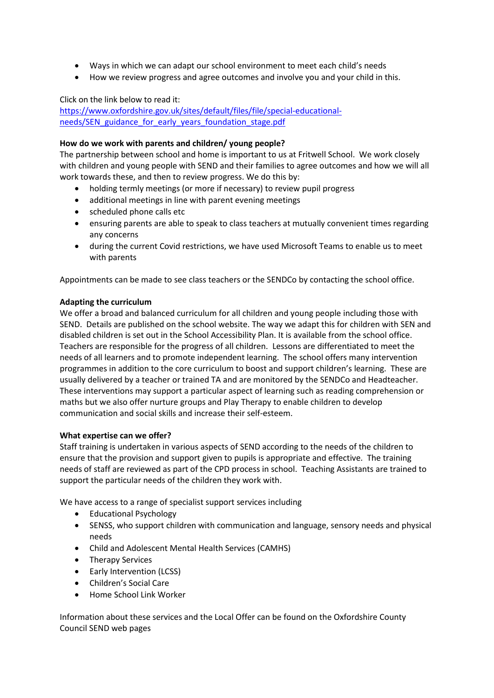- Ways in which we can adapt our school environment to meet each child's needs
- How we review progress and agree outcomes and involve you and your child in this.

Click on the link below to read it:

[https://www.oxfordshire.gov.uk/sites/default/files/file/special-educational](https://www.oxfordshire.gov.uk/sites/default/files/file/special-educational-needs/SEN_guidance_for_early_years_foundation_stage.pdf)[needs/SEN\\_guidance\\_for\\_early\\_years\\_foundation\\_stage.pdf](https://www.oxfordshire.gov.uk/sites/default/files/file/special-educational-needs/SEN_guidance_for_early_years_foundation_stage.pdf)

#### **How do we work with parents and children/ young people?**

The partnership between school and home is important to us at Fritwell School. We work closely with children and young people with SEND and their families to agree outcomes and how we will all work towards these, and then to review progress. We do this by:

- holding termly meetings (or more if necessary) to review pupil progress
- additional meetings in line with parent evening meetings
- scheduled phone calls etc
- ensuring parents are able to speak to class teachers at mutually convenient times regarding any concerns
- during the current Covid restrictions, we have used Microsoft Teams to enable us to meet with parents

Appointments can be made to see class teachers or the SENDCo by contacting the school office.

#### **Adapting the curriculum**

We offer a broad and balanced curriculum for all children and young people including those with SEND. Details are published on the school website. The way we adapt this for children with SEN and disabled children is set out in the School Accessibility Plan. It is available from the school office. Teachers are responsible for the progress of all children. Lessons are differentiated to meet the needs of all learners and to promote independent learning. The school offers many intervention programmes in addition to the core curriculum to boost and support children's learning. These are usually delivered by a teacher or trained TA and are monitored by the SENDCo and Headteacher. These interventions may support a particular aspect of learning such as reading comprehension or maths but we also offer nurture groups and Play Therapy to enable children to develop communication and social skills and increase their self-esteem.

#### **What expertise can we offer?**

Staff training is undertaken in various aspects of SEND according to the needs of the children to ensure that the provision and support given to pupils is appropriate and effective. The training needs of staff are reviewed as part of the CPD process in school. Teaching Assistants are trained to support the particular needs of the children they work with.

We have access to a range of specialist support services including

- Educational Psychology
- SENSS, who support children with communication and language, sensory needs and physical needs
- Child and Adolescent Mental Health Services (CAMHS)
- Therapy Services
- Early Intervention (LCSS)
- Children's Social Care
- Home School Link Worker

Information about these services and the Local Offer can be found on the Oxfordshire County Council SEND web pages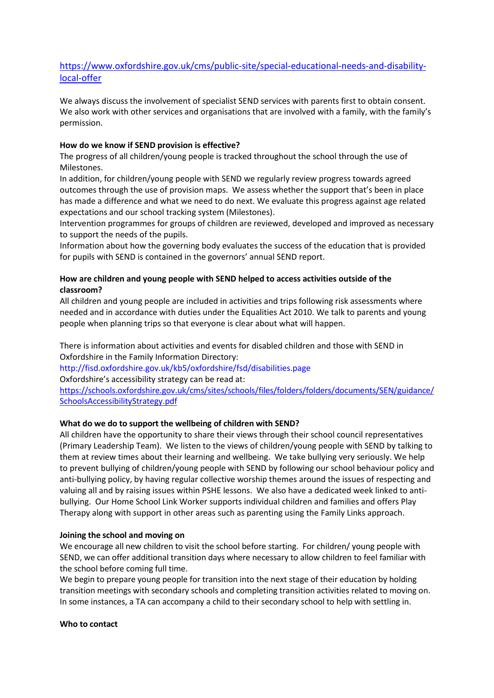## [https://www.oxfordshire.gov.uk/cms/public-site/special-educational-needs-and-disability](https://www.oxfordshire.gov.uk/cms/public-site/special-educational-needs-and-disability-local-offer)[local-offer](https://www.oxfordshire.gov.uk/cms/public-site/special-educational-needs-and-disability-local-offer)

We always discuss the involvement of specialist SEND services with parents first to obtain consent. We also work with other services and organisations that are involved with a family, with the family's permission.

## **How do we know if SEND provision is effective?**

The progress of all children/young people is tracked throughout the school through the use of Milestones.

In addition, for children/young people with SEND we regularly review progress towards agreed outcomes through the use of provision maps. We assess whether the support that's been in place has made a difference and what we need to do next. We evaluate this progress against age related expectations and our school tracking system (Milestones).

Intervention programmes for groups of children are reviewed, developed and improved as necessary to support the needs of the pupils.

Information about how the governing body evaluates the success of the education that is provided for pupils with SEND is contained in the governors' annual SEND report.

## **How are children and young people with SEND helped to access activities outside of the classroom?**

All children and young people are included in activities and trips following risk assessments where needed and in accordance with duties under the Equalities Act 2010. We talk to parents and young people when planning trips so that everyone is clear about what will happen.

There is information about activities and events for disabled children and those with SEND in Oxfordshire in the Family Information Directory:

<http://fisd.oxfordshire.gov.uk/kb5/oxfordshire/fsd/disabilities.page>

Oxfordshire's accessibility strategy can be read at:

[https://schools.oxfordshire.gov.uk/cms/sites/schools/files/folders/folders/documents/SEN/guidance/](https://schools.oxfordshire.gov.uk/cms/sites/schools/files/folders/folders/documents/SEN/guidance/SchoolsAccessibilityStrategy.pdf) [SchoolsAccessibilityStrategy.pdf](https://schools.oxfordshire.gov.uk/cms/sites/schools/files/folders/folders/documents/SEN/guidance/SchoolsAccessibilityStrategy.pdf)

## **What do we do to support the wellbeing of children with SEND?**

All children have the opportunity to share their views through their school council representatives (Primary Leadership Team). We listen to the views of children/young people with SEND by talking to them at review times about their learning and wellbeing. We take bullying very seriously. We help to prevent bullying of children/young people with SEND by following our school behaviour policy and anti-bullying policy, by having regular collective worship themes around the issues of respecting and valuing all and by raising issues within PSHE lessons. We also have a dedicated week linked to antibullying. Our Home School Link Worker supports individual children and families and offers Play Therapy along with support in other areas such as parenting using the Family Links approach.

## **Joining the school and moving on**

We encourage all new children to visit the school before starting. For children/ young people with SEND, we can offer additional transition days where necessary to allow children to feel familiar with the school before coming full time.

We begin to prepare young people for transition into the next stage of their education by holding transition meetings with secondary schools and completing transition activities related to moving on. In some instances, a TA can accompany a child to their secondary school to help with settling in.

#### **Who to contact**